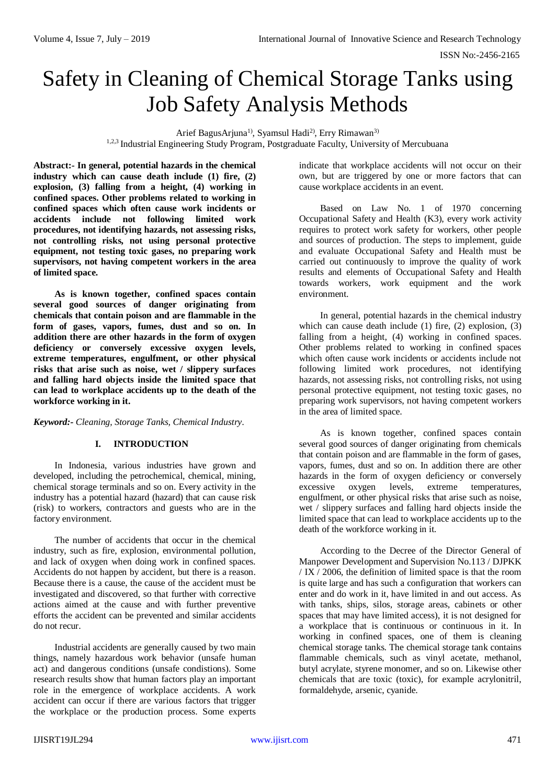ISSN No:-2456-2165

# Safety in Cleaning of Chemical Storage Tanks using Job Safety Analysis Methods

Arief BagusArjuna<sup>1)</sup>, Syamsul Hadi<sup>2)</sup>, Erry Rimawan<sup>3)</sup> <sup>1,2,3</sup> Industrial Engineering Study Program, Postgraduate Faculty, University of Mercubuana

**Abstract:- In general, potential hazards in the chemical industry which can cause death include (1) fire, (2) explosion, (3) falling from a height, (4) working in confined spaces. Other problems related to working in confined spaces which often cause work incidents or accidents include not following limited work procedures, not identifying hazards, not assessing risks, not controlling risks, not using personal protective equipment, not testing toxic gases, no preparing work supervisors, not having competent workers in the area of limited space.**

**As is known together, confined spaces contain several good sources of danger originating from chemicals that contain poison and are flammable in the form of gases, vapors, fumes, dust and so on. In addition there are other hazards in the form of oxygen deficiency or conversely excessive oxygen levels, extreme temperatures, engulfment, or other physical risks that arise such as noise, wet / slippery surfaces and falling hard objects inside the limited space that can lead to workplace accidents up to the death of the workforce working in it.**

*Keyword:- Cleaning, Storage Tanks, Chemical Industry.*

## **I. INTRODUCTION**

In Indonesia, various industries have grown and developed, including the petrochemical, chemical, mining, chemical storage terminals and so on. Every activity in the industry has a potential hazard (hazard) that can cause risk (risk) to workers, contractors and guests who are in the factory environment.

The number of accidents that occur in the chemical industry, such as fire, explosion, environmental pollution, and lack of oxygen when doing work in confined spaces. Accidents do not happen by accident, but there is a reason. Because there is a cause, the cause of the accident must be investigated and discovered, so that further with corrective actions aimed at the cause and with further preventive efforts the accident can be prevented and similar accidents do not recur.

Industrial accidents are generally caused by two main things, namely hazardous work behavior (unsafe human act) and dangerous conditions (unsafe condistions). Some research results show that human factors play an important role in the emergence of workplace accidents. A work accident can occur if there are various factors that trigger the workplace or the production process. Some experts

indicate that workplace accidents will not occur on their own, but are triggered by one or more factors that can cause workplace accidents in an event.

Based on Law No. 1 of 1970 concerning Occupational Safety and Health (K3), every work activity requires to protect work safety for workers, other people and sources of production. The steps to implement, guide and evaluate Occupational Safety and Health must be carried out continuously to improve the quality of work results and elements of Occupational Safety and Health towards workers, work equipment and the work environment.

In general, potential hazards in the chemical industry which can cause death include (1) fire, (2) explosion, (3) falling from a height, (4) working in confined spaces. Other problems related to working in confined spaces which often cause work incidents or accidents include not following limited work procedures, not identifying hazards, not assessing risks, not controlling risks, not using personal protective equipment, not testing toxic gases, no preparing work supervisors, not having competent workers in the area of limited space.

As is known together, confined spaces contain several good sources of danger originating from chemicals that contain poison and are flammable in the form of gases, vapors, fumes, dust and so on. In addition there are other hazards in the form of oxygen deficiency or conversely excessive oxygen levels, extreme temperatures, engulfment, or other physical risks that arise such as noise, wet / slippery surfaces and falling hard objects inside the limited space that can lead to workplace accidents up to the death of the workforce working in it.

According to the Decree of the Director General of Manpower Development and Supervision No.113 / DJPKK / IX / 2006, the definition of limited space is that the room is quite large and has such a configuration that workers can enter and do work in it, have limited in and out access. As with tanks, ships, silos, storage areas, cabinets or other spaces that may have limited access), it is not designed for a workplace that is continuous or continuous in it. In working in confined spaces, one of them is cleaning chemical storage tanks. The chemical storage tank contains flammable chemicals, such as vinyl acetate, methanol, butyl acrylate, styrene monomer, and so on. Likewise other chemicals that are toxic (toxic), for example acrylonitril, formaldehyde, arsenic, cyanide.